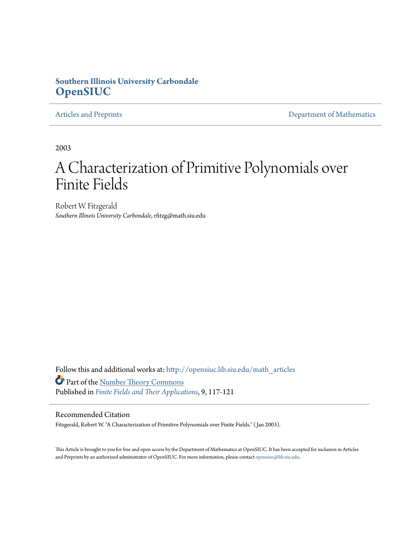# **Southern Illinois University Carbondale [OpenSIUC](http://opensiuc.lib.siu.edu?utm_source=opensiuc.lib.siu.edu%2Fmath_articles%2F32&utm_medium=PDF&utm_campaign=PDFCoverPages)**

[Articles and Preprints](http://opensiuc.lib.siu.edu/math_articles?utm_source=opensiuc.lib.siu.edu%2Fmath_articles%2F32&utm_medium=PDF&utm_campaign=PDFCoverPages) **[Department of Mathematics](http://opensiuc.lib.siu.edu/math?utm_source=opensiuc.lib.siu.edu%2Fmath_articles%2F32&utm_medium=PDF&utm_campaign=PDFCoverPages)** 

2003

# A Characterization of Primitive Polynomials over Finite Fields

Robert W. Fitzgerald *Southern Illinois University Carbondale*, rfitzg@math.siu.edu

Follow this and additional works at: [http://opensiuc.lib.siu.edu/math\\_articles](http://opensiuc.lib.siu.edu/math_articles?utm_source=opensiuc.lib.siu.edu%2Fmath_articles%2F32&utm_medium=PDF&utm_campaign=PDFCoverPages) Part of the [Number Theory Commons](http://network.bepress.com/hgg/discipline/183?utm_source=opensiuc.lib.siu.edu%2Fmath_articles%2F32&utm_medium=PDF&utm_campaign=PDFCoverPages) Published in *[Finite Fields and Their Applications](http://www.elsevier.com/wps/find/journaldescription.cws_home/622831/description#description)*, 9, 117-121

## Recommended Citation

Fitzgerald, Robert W. "A Characterization of Primitive Polynomials over Finite Fields." ( Jan 2003).

This Article is brought to you for free and open access by the Department of Mathematics at OpenSIUC. It has been accepted for inclusion in Articles and Preprints by an authorized administrator of OpenSIUC. For more information, please contact [opensiuc@lib.siu.edu](mailto:opensiuc@lib.siu.edu).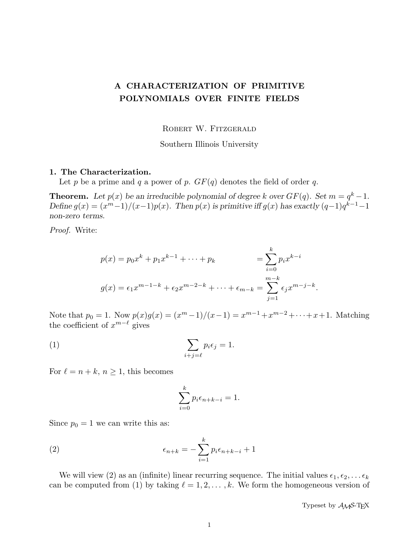## A CHARACTERIZATION OF PRIMITIVE POLYNOMIALS OVER FINITE FIELDS

ROBERT W. FITZGERALD

Southern Illinois University

#### 1. The Characterization.

Let p be a prime and q a power of p.  $GF(q)$  denotes the field of order q.

**Theorem.** Let  $p(x)$  be an irreducible polynomial of degree k over  $GF(q)$ . Set  $m = q^k - 1$ . Define  $g(x) = (x^m-1)/(x-1)p(x)$ . Then  $p(x)$  is primitive iff  $g(x)$  has exactly  $(q-1)q^{k-1}-1$ non-zero terms.

Proof. Write:

$$
p(x) = p_0 x^k + p_1 x^{k-1} + \dots + p_k = \sum_{i=0}^k p_i x^{k-i}
$$
  

$$
g(x) = \epsilon_1 x^{m-1-k} + \epsilon_2 x^{m-2-k} + \dots + \epsilon_{m-k} = \sum_{j=1}^{m-k} \epsilon_j x^{m-j-k}
$$

Note that  $p_0 = 1$ . Now  $p(x)g(x) = (x^m - 1)/(x - 1) = x^{m-1} + x^{m-2} + \cdots + x + 1$ . Matching the coefficient of  $x^{m-\ell}$  gives

(1) 
$$
\sum_{i+j=\ell} p_i \epsilon_j = 1.
$$

For  $\ell = n + k$ ,  $n \geq 1$ , this becomes

$$
\sum_{i=0}^{k} p_i \epsilon_{n+k-i} = 1.
$$

Since  $p_0 = 1$  we can write this as:

(2) 
$$
\epsilon_{n+k} = -\sum_{i=1}^{k} p_i \epsilon_{n+k-i} + 1
$$

We will view (2) as an (infinite) linear recurring sequence. The initial values  $\epsilon_1, \epsilon_2, \ldots \epsilon_k$ can be computed from (1) by taking  $\ell = 1, 2, \ldots, k$ . We form the homogeneous version of

Typeset by  $A_{\mathcal{M}}S$ -T<sub>F</sub>X

.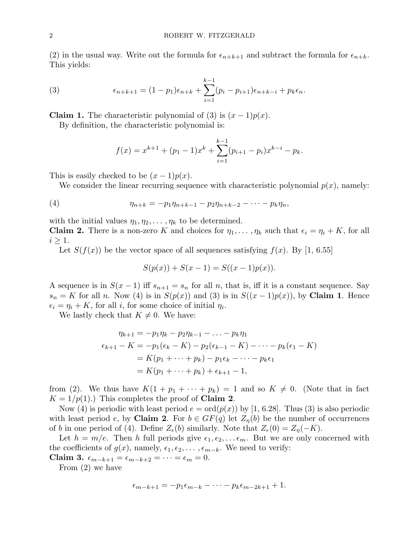(2) in the usual way. Write out the formula for  $\epsilon_{n+k+1}$  and subtract the formula for  $\epsilon_{n+k}$ . This yields:

(3) 
$$
\epsilon_{n+k+1} = (1-p_1)\epsilon_{n+k} + \sum_{i=1}^{k-1} (p_i - p_{i+1})\epsilon_{n+k-i} + p_k \epsilon_n.
$$

**Claim 1.** The characteristic polynomial of (3) is  $(x - 1)p(x)$ .

By definition, the characteristic polynomial is:

$$
f(x) = x^{k+1} + (p_1 - 1)x^k + \sum_{i=1}^{k-1} (p_{i+1} - p_i)x^{k-i} - p_k.
$$

This is easily checked to be  $(x-1)p(x)$ .

We consider the linear recurring sequence with characteristic polynomial  $p(x)$ , namely:

(4) 
$$
\eta_{n+k} = -p_1 \eta_{n+k-1} - p_2 \eta_{n+k-2} - \cdots - p_k \eta_n,
$$

with the initial values  $\eta_1, \eta_2, \ldots, \eta_k$  to be determined.

**Claim 2.** There is a non-zero K and choices for  $\eta_1, \ldots, \eta_k$  such that  $\epsilon_i = \eta_i + K$ , for all  $i \geq 1$ .

Let  $S(f(x))$  be the vector space of all sequences satisfying  $f(x)$ . By [1, 6.55]

$$
S(p(x)) + S(x - 1) = S((x - 1)p(x)).
$$

A sequence is in  $S(x-1)$  iff  $s_{n+1} = s_n$  for all n, that is, iff it is a constant sequence. Say  $s_n = K$  for all n. Now (4) is in  $S(p(x))$  and (3) is in  $S((x-1)p(x))$ , by **Claim 1**. Hence  $\epsilon_i = \eta_i + K$ , for all i, for some choice of initial  $\eta_i$ .

We lastly check that  $K \neq 0$ . We have:

$$
\eta_{k+1} = -p_1 \eta_k - p_2 \eta_{k-1} - \dots - p_k \eta_1
$$
  
\n
$$
\epsilon_{k+1} - K = -p_1(\epsilon_k - K) - p_2(\epsilon_{k-1} - K) - \dots - p_k(\epsilon_1 - K)
$$
  
\n
$$
= K(p_1 + \dots + p_k) - p_1 \epsilon_k - \dots - p_k \epsilon_1
$$
  
\n
$$
= K(p_1 + \dots + p_k) + \epsilon_{k+1} - 1,
$$

from (2). We thus have  $K(1 + p_1 + \cdots + p_k) = 1$  and so  $K \neq 0$ . (Note that in fact  $K = 1/p(1)$ .) This completes the proof of **Claim 2**.

Now (4) is periodic with least period  $e = \text{ord}(p(x))$  by [1, 6.28]. Thus (3) is also periodic with least period e, by **Claim 2**. For  $b \in GF(q)$  let  $Z_n(b)$  be the number of occurrences of b in one period of (4). Define  $Z_{\epsilon}(b)$  similarly. Note that  $Z_{\epsilon}(0) = Z_{\eta}(-K)$ .

Let  $h = m/e$ . Then h full periods give  $\epsilon_1, \epsilon_2, \ldots \epsilon_m$ . But we are only concerned with the coefficients of  $g(x)$ , namely,  $\epsilon_1, \epsilon_2, \ldots, \epsilon_{m-k}$ . We need to verify:

Claim 3.  $\epsilon_{m-k+1} = \epsilon_{m-k+2} = \cdots = \epsilon_m = 0.$ 

From (2) we have

$$
\epsilon_{m-k+1}=-p_1\epsilon_{m-k}-\cdots-p_k\epsilon_{m-2k+1}+1.
$$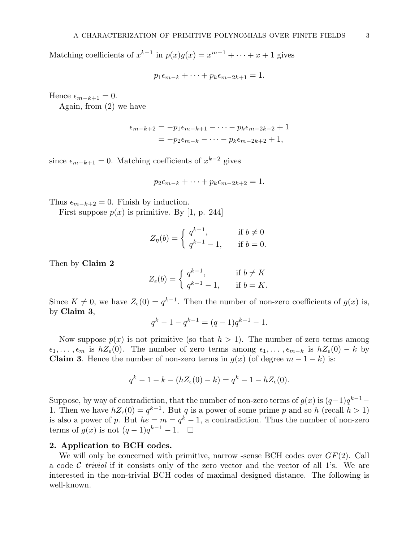Matching coefficients of  $x^{k-1}$  in  $p(x)g(x) = x^{m-1} + \cdots + x + 1$  gives

 $p_1\epsilon_{m-k} + \cdots + p_k\epsilon_{m-2k+1} = 1.$ 

Hence  $\epsilon_{m-k+1} = 0$ .

Again, from (2) we have

$$
\epsilon_{m-k+2} = -p_1 \epsilon_{m-k+1} - \dots - p_k \epsilon_{m-2k+2} + 1
$$
  
= 
$$
-p_2 \epsilon_{m-k} - \dots - p_k \epsilon_{m-2k+2} + 1,
$$

since  $\epsilon_{m-k+1} = 0$ . Matching coefficients of  $x^{k-2}$  gives

$$
p_2\epsilon_{m-k}+\cdots+p_k\epsilon_{m-2k+2}=1.
$$

Thus  $\epsilon_{m-k+2} = 0$ . Finish by induction.

First suppose  $p(x)$  is primitive. By [1, p. 244]

$$
Z_{\eta}(b) = \begin{cases} q^{k-1}, & \text{if } b \neq 0 \\ q^{k-1} - 1, & \text{if } b = 0. \end{cases}
$$

Then by Claim 2

$$
Z_{\epsilon}(b) = \begin{cases} q^{k-1}, & \text{if } b \neq K \\ q^{k-1} - 1, & \text{if } b = K. \end{cases}
$$

Since  $K \neq 0$ , we have  $Z_{\epsilon}(0) = q^{k-1}$ . Then the number of non-zero coefficients of  $g(x)$  is, by Claim 3,

$$
q^k - 1 - q^{k-1} = (q-1)q^{k-1} - 1.
$$

Now suppose  $p(x)$  is not primitive (so that  $h > 1$ ). The number of zero terms among  $\epsilon_1, \ldots, \epsilon_m$  is  $hZ_{\epsilon}(0)$ . The number of zero terms among  $\epsilon_1, \ldots, \epsilon_{m-k}$  is  $hZ_{\epsilon}(0) - k$  by **Claim 3.** Hence the number of non-zero terms in  $q(x)$  (of degree  $m-1-k$ ) is:

$$
q^{k} - 1 - k - (hZ_{\epsilon}(0) - k) = q^{k} - 1 - hZ_{\epsilon}(0).
$$

Suppose, by way of contradiction, that the number of non-zero terms of  $g(x)$  is  $(q-1)q^{k-1}-$ 1. Then we have  $hZ_{\epsilon}(0) = q^{k-1}$ . But q is a power of some prime p and so h (recall  $h > 1$ ) is also a power of p. But  $he = m = q^k - 1$ , a contradiction. Thus the number of non-zero terms of  $g(x)$  is not  $(q-1)q^{k-1}-1$ .  $\Box$ 

#### 2. Application to BCH codes.

We will only be concerned with primitive, narrow -sense BCH codes over  $GF(2)$ . Call a code  $\mathcal C$  trivial if it consists only of the zero vector and the vector of all 1's. We are interested in the non-trivial BCH codes of maximal designed distance. The following is well-known.